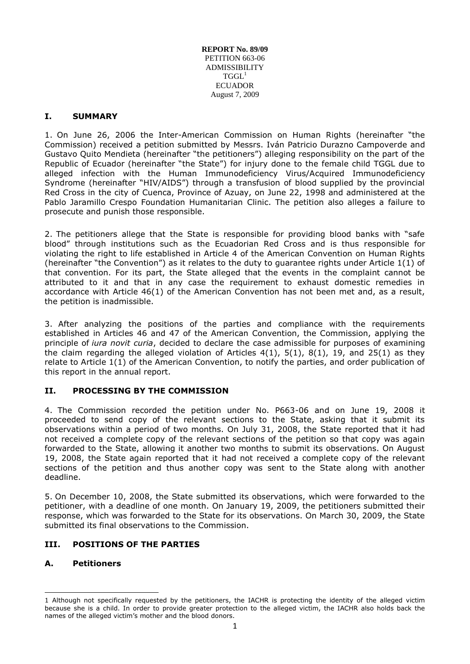**REPORT No. 89/09** PETITION 663-06 ADMISSIBILITY  $TGGL<sup>1</sup>$ ECUADOR August 7, 2009

#### **I. SUMMARY**

1. On June 26, 2006 the Inter-American Commission on Human Rights (hereinafter "the Commission) received a petition submitted by Messrs. Iván Patricio Durazno Campoverde and Gustavo Quito Mendieta (hereinafter "the petitioners") alleging responsibility on the part of the Republic of Ecuador (hereinafter "the State") for injury done to the female child TGGL due to alleged infection with the Human Immunodeficiency Virus/Acquired Immunodeficiency Syndrome (hereinafter "HIV/AIDS") through a transfusion of blood supplied by the provincial Red Cross in the city of Cuenca, Province of Azuay, on June 22, 1998 and administered at the Pablo Jaramillo Crespo Foundation Humanitarian Clinic. The petition also alleges a failure to prosecute and punish those responsible.

2. The petitioners allege that the State is responsible for providing blood banks with "safe blood" through institutions such as the Ecuadorian Red Cross and is thus responsible for violating the right to life established in Article 4 of the American Convention on Human Rights (hereinafter "the Convention") as it relates to the duty to quarantee rights under Article  $1(1)$  of that convention. For its part, the State alleged that the events in the complaint cannot be attributed to it and that in any case the requirement to exhaust domestic remedies in accordance with Article 46(1) of the American Convention has not been met and, as a result, the petition is inadmissible.

3. After analyzing the positions of the parties and compliance with the requirements established in Articles 46 and 47 of the American Convention, the Commission, applying the principle of *iura novit curia*, decided to declare the case admissible for purposes of examining the claim regarding the alleged violation of Articles  $4(1)$ ,  $5(1)$ ,  $8(1)$ ,  $19$ , and  $25(1)$  as they relate to Article 1(1) of the American Convention, to notify the parties, and order publication of this report in the annual report.

## **II. PROCESSING BY THE COMMISSION**

4. The Commission recorded the petition under No. P663-06 and on June 19, 2008 it proceeded to send copy of the relevant sections to the State, asking that it submit its observations within a period of two months. On July 31, 2008, the State reported that it had not received a complete copy of the relevant sections of the petition so that copy was again forwarded to the State, allowing it another two months to submit its observations. On August 19, 2008, the State again reported that it had not received a complete copy of the relevant sections of the petition and thus another copy was sent to the State along with another deadline.

5. On December 10, 2008, the State submitted its observations, which were forwarded to the petitioner, with a deadline of one month. On January 19, 2009, the petitioners submitted their response, which was forwarded to the State for its observations. On March 30, 2009, the State submitted its final observations to the Commission.

## **III. POSITIONS OF THE PARTIES**

## **A. Petitioners**

-

<sup>1</sup> Although not specifically requested by the petitioners, the IACHR is protecting the identity of the alleged victim because she is a child. In order to provide greater protection to the alleged victim, the IACHR also holds back the names of the alleged victim's mother and the blood donors.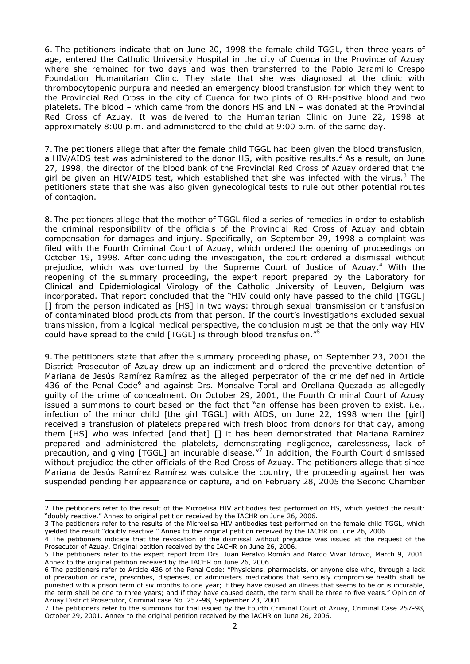6. The petitioners indicate that on June 20, 1998 the female child TGGL, then three years of age, entered the Catholic University Hospital in the city of Cuenca in the Province of Azuay where she remained for two days and was then transferred to the Pablo Jaramillo Crespo Foundation Humanitarian Clinic. They state that she was diagnosed at the clinic with thrombocytopenic purpura and needed an emergency blood transfusion for which they went to the Provincial Red Cross in the city of Cuenca for two pints of O RH-positive blood and two platelets. The blood – which came from the donors HS and LN – was donated at the Provincial Red Cross of Azuay. It was delivered to the Humanitarian Clinic on June 22, 1998 at approximately 8:00 p.m. and administered to the child at 9:00 p.m. of the same day.

7. The petitioners allege that after the female child TGGL had been given the blood transfusion, a HIV/AIDS test was administered to the donor HS, with positive results.<sup>2</sup> As a result, on June 27, 1998, the director of the blood bank of the Provincial Red Cross of Azuay ordered that the girl be given an HIV/AIDS test, which established that she was infected with the virus.<sup>3</sup> The petitioners state that she was also given gynecological tests to rule out other potential routes of contagion.

8. The petitioners allege that the mother of TGGL filed a series of remedies in order to establish the criminal responsibility of the officials of the Provincial Red Cross of Azuay and obtain compensation for damages and injury. Specifically, on September 29, 1998 a complaint was filed with the Fourth Criminal Court of Azuay, which ordered the opening of proceedings on October 19, 1998. After concluding the investigation, the court ordered a dismissal without prejudice, which was overturned by the Supreme Court of Justice of Azuay.<sup>4</sup> With the reopening of the summary proceeding, the expert report prepared by the Laboratory for Clinical and Epidemiological Virology of the Catholic University of Leuven, Belgium was incorporated. That report concluded that the "HIV could only have passed to the child [TGGL] [] from the person indicated as [HS] in two ways: through sexual transmission or transfusion of contaminated blood products from that person. If the court's investigations excluded sexual transmission, from a logical medical perspective, the conclusion must be that the only way HIV could have spread to the child [TGGL] is through blood transfusion."<sup>5</sup>

9. The petitioners state that after the summary proceeding phase, on September 23, 2001 the District Prosecutor of Azuay drew up an indictment and ordered the preventive detention of Mariana de Jesús Ramírez Ramírez as the alleged perpetrator of the crime defined in Article 436 of the Penal Code<sup>6</sup> and against Drs. Monsalve Toral and Orellana Quezada as allegedly guilty of the crime of concealment. On October 29, 2001, the Fourth Criminal Court of Azuay issued a summons to court based on the fact that "an offense has been proven to exist, i.e., infection of the minor child [the girl TGGL] with AIDS, on June 22, 1998 when the [girl] received a transfusion of platelets prepared with fresh blood from donors for that day, among them [HS] who was infected [and that] [] it has been demonstrated that Mariana Ramírez prepared and administered the platelets, demonstrating negligence, carelessness, lack of precaution, and giving [TGGL] an incurable disease."<sup>7</sup> In addition, the Fourth Court dismissed without prejudice the other officials of the Red Cross of Azuay. The petitioners allege that since Mariana de Jesús Ramírez Ramírez was outside the country, the proceeding against her was suspended pending her appearance or capture, and on February 28, 2005 the Second Chamber

-

<sup>2</sup> The petitioners refer to the result of the Microelisa HIV antibodies test performed on HS, which yielded the result: "doubly reactive." Annex to original petition received by the IACHR on June 26, 2006.

<sup>3</sup> The petitioners refer to the results of the Microelisa HIV antibodies test performed on the female child TGGL, which yielded the result "doubly reactive." Annex to the original petition received by the IACHR on June 26, 2006.

<sup>4</sup> The petitioners indicate that the revocation of the dismissal without prejudice was issued at the request of the Prosecutor of Azuay. Original petition received by the IACHR on June 26, 2006.

<sup>5</sup> The petitioners refer to the expert report from Drs. Juan Peralvo Román and Nardo Vivar Idrovo, March 9, 2001. Annex to the original petition received by the IACHR on June 26, 2006.

<sup>6</sup> The petitioners refer to Article 436 of the Penal Code: "Physicians, pharmacists, or anyone else who, through a lack of precaution or care, prescribes, dispenses, or administers medications that seriously compromise health shall be punished with a prison term of six months to one year; if they have caused an illness that seems to be or is incurable, the term shall be one to three years; and if they have caused death, the term shall be three to five years." Opinion of Azuay District Prosecutor, Criminal case No. 257-98, September 23, 2001.

<sup>7</sup> The petitioners refer to the summons for trial issued by the Fourth Criminal Court of Azuay, Criminal Case 257-98, October 29, 2001. Annex to the original petition received by the IACHR on June 26, 2006.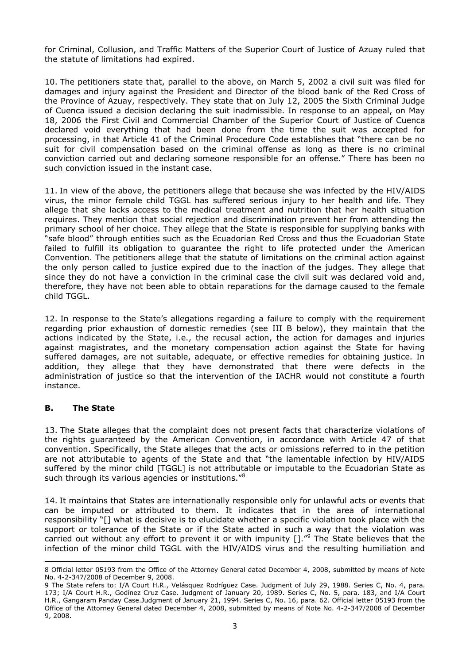for Criminal, Collusion, and Traffic Matters of the Superior Court of Justice of Azuay ruled that the statute of limitations had expired.

10. The petitioners state that, parallel to the above, on March 5, 2002 a civil suit was filed for damages and injury against the President and Director of the blood bank of the Red Cross of the Province of Azuay, respectively. They state that on July 12, 2005 the Sixth Criminal Judge of Cuenca issued a decision declaring the suit inadmissible. In response to an appeal, on May 18, 2006 the First Civil and Commercial Chamber of the Superior Court of Justice of Cuenca declared void everything that had been done from the time the suit was accepted for processing, in that Article 41 of the Criminal Procedure Code establishes that "there can be no suit for civil compensation based on the criminal offense as long as there is no criminal conviction carried out and declaring someone responsible for an offense." There has been no such conviction issued in the instant case.

11. In view of the above, the petitioners allege that because she was infected by the HIV/AIDS virus, the minor female child TGGL has suffered serious injury to her health and life. They allege that she lacks access to the medical treatment and nutrition that her health situation requires. They mention that social rejection and discrimination prevent her from attending the primary school of her choice. They allege that the State is responsible for supplying banks with "safe blood" through entities such as the Ecuadorian Red Cross and thus the Ecuadorian State failed to fulfill its obligation to guarantee the right to life protected under the American Convention. The petitioners allege that the statute of limitations on the criminal action against the only person called to justice expired due to the inaction of the judges. They allege that since they do not have a conviction in the criminal case the civil suit was declared void and, therefore, they have not been able to obtain reparations for the damage caused to the female child TGGL.

12. In response to the State's allegations regarding a failure to comply with the requirement regarding prior exhaustion of domestic remedies (see III B below), they maintain that the actions indicated by the State, i.e., the recusal action, the action for damages and injuries against magistrates, and the monetary compensation action against the State for having suffered damages, are not suitable, adequate, or effective remedies for obtaining justice. In addition, they allege that they have demonstrated that there were defects in the administration of justice so that the intervention of the IACHR would not constitute a fourth instance.

## **B. The State**

-

13. The State alleges that the complaint does not present facts that characterize violations of the rights guaranteed by the American Convention, in accordance with Article 47 of that convention. Specifically, the State alleges that the acts or omissions referred to in the petition are not attributable to agents of the State and that "the lamentable infection by HIV/AIDS suffered by the minor child [TGGL] is not attributable or imputable to the Ecuadorian State as such through its various agencies or institutions."<sup>8</sup>

14. It maintains that States are internationally responsible only for unlawful acts or events that can be imputed or attributed to them. It indicates that in the area of international responsibility "[] what is decisive is to elucidate whether a specific violation took place with the support or tolerance of the State or if the State acted in such a way that the violation was carried out without any effort to prevent it or with impunity [].<sup>"9</sup> The State believes that the infection of the minor child TGGL with the HIV/AIDS virus and the resulting humiliation and

<sup>8</sup> Official letter 05193 from the Office of the Attorney General dated December 4, 2008, submitted by means of Note No. 4-2-347/2008 of December 9, 2008.

<sup>9</sup> The State refers to: I/A Court H.R., Velásquez Rodríguez Case. Judgment of July 29, 1988. Series C, No. 4, para. 173; I/A Court H.R., Godínez Cruz Case. Judgment of January 20, 1989. Series C, No. 5, para. 183, and I/A Court H.R., Gangaram Panday Case.Judgment of January 21, 1994. Series C, No. 16, para. 62. Official letter 05193 from the Office of the Attorney General dated December 4, 2008, submitted by means of Note No. 4-2-347/2008 of December 9, 2008.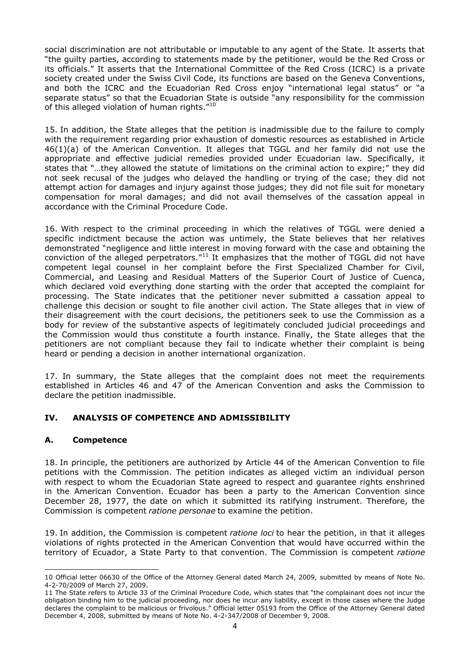social discrimination are not attributable or imputable to any agent of the State. It asserts that "the guilty parties, according to statements made by the petitioner, would be the Red Cross or its officials." It asserts that the International Committee of the Red Cross (ICRC) is a private society created under the Swiss Civil Code, its functions are based on the Geneva Conventions, and both the ICRC and the Ecuadorian Red Cross enjoy "international legal status" or "a separate status" so that the Ecuadorian State is outside "any responsibility for the commission of this alleged violation of human rights."<sup>10</sup>

15. In addition, the State alleges that the petition is inadmissible due to the failure to comply with the requirement regarding prior exhaustion of domestic resources as established in Article 46(1)(a) of the American Convention. It alleges that TGGL and her family did not use the appropriate and effective judicial remedies provided under Ecuadorian law. Specifically, it states that "…they allowed the statute of limitations on the criminal action to expire;" they did not seek recusal of the judges who delayed the handling or trying of the case; they did not attempt action for damages and injury against those judges; they did not file suit for monetary compensation for moral damages; and did not avail themselves of the cassation appeal in accordance with the Criminal Procedure Code.

16. With respect to the criminal proceeding in which the relatives of TGGL were denied a specific indictment because the action was untimely, the State believes that her relatives demonstrated "negligence and little interest in moving forward with the case and obtaining the conviction of the alleged perpetrators."<sup>11</sup> It emphasizes that the mother of TGGL did not have competent legal counsel in her complaint before the First Specialized Chamber for Civil, Commercial, and Leasing and Residual Matters of the Superior Court of Justice of Cuenca, which declared void everything done starting with the order that accepted the complaint for processing. The State indicates that the petitioner never submitted a cassation appeal to challenge this decision or sought to file another civil action. The State alleges that in view of their disagreement with the court decisions, the petitioners seek to use the Commission as a body for review of the substantive aspects of legitimately concluded judicial proceedings and the Commission would thus constitute a fourth instance. Finally, the State alleges that the petitioners are not compliant because they fail to indicate whether their complaint is being heard or pending a decision in another international organization.

17. In summary, the State alleges that the complaint does not meet the requirements established in Articles 46 and 47 of the American Convention and asks the Commission to declare the petition inadmissible.

## **IV. ANALYSIS OF COMPETENCE AND ADMISSIBILITY**

## **A. Competence**

-

18. In principle, the petitioners are authorized by Article 44 of the American Convention to file petitions with the Commission. The petition indicates as alleged victim an individual person with respect to whom the Ecuadorian State agreed to respect and guarantee rights enshrined in the American Convention. Ecuador has been a party to the American Convention since December 28, 1977, the date on which it submitted its ratifying instrument. Therefore, the Commission is competent *ratione personae* to examine the petition.

19. In addition, the Commission is competent *ratione loci* to hear the petition, in that it alleges violations of rights protected in the American Convention that would have occurred within the territory of Ecuador, a State Party to that convention. The Commission is competent *ratione* 

<sup>10</sup> Official letter 06630 of the Office of the Attorney General dated March 24, 2009, submitted by means of Note No. 4-2-70/2009 of March 27, 2009.

<sup>11</sup> The State refers to Article 33 of the Criminal Procedure Code, which states that "the complainant does not incur the obligation binding him to the judicial proceeding, nor does he incur any liability, except in those cases where the Judge declares the complaint to be malicious or frivolous." Official letter 05193 from the Office of the Attorney General dated December 4, 2008, submitted by means of Note No. 4-2-347/2008 of December 9, 2008.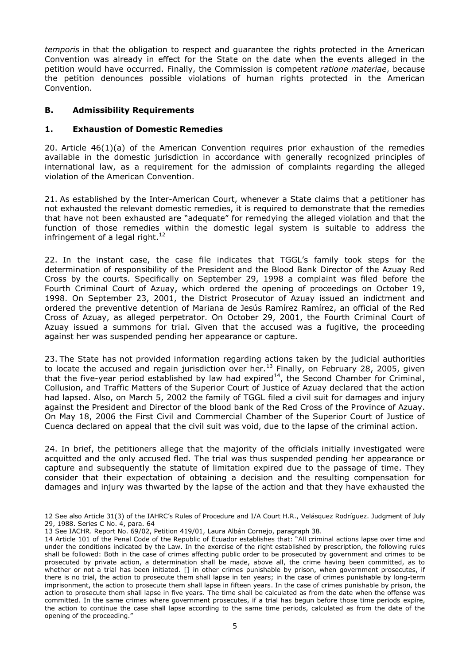*temporis* in that the obligation to respect and guarantee the rights protected in the American Convention was already in effect for the State on the date when the events alleged in the petition would have occurred. Finally, the Commission is competent *ratione materiae*, because the petition denounces possible violations of human rights protected in the American Convention.

## **B. Admissibility Requirements**

## **1. Exhaustion of Domestic Remedies**

20. Article 46(1)(a) of the American Convention requires prior exhaustion of the remedies available in the domestic jurisdiction in accordance with generally recognized principles of international law, as a requirement for the admission of complaints regarding the alleged violation of the American Convention.

21. As established by the Inter-American Court, whenever a State claims that a petitioner has not exhausted the relevant domestic remedies, it is required to demonstrate that the remedies that have not been exhausted are "adequate" for remedying the alleged violation and that the function of those remedies within the domestic legal system is suitable to address the infringement of a legal right. $^{12}$ 

22. In the instant case, the case file indicates that TGGL's family took steps for the determination of responsibility of the President and the Blood Bank Director of the Azuay Red Cross by the courts. Specifically on September 29, 1998 a complaint was filed before the Fourth Criminal Court of Azuay, which ordered the opening of proceedings on October 19, 1998. On September 23, 2001, the District Prosecutor of Azuay issued an indictment and ordered the preventive detention of Mariana de Jesús Ramírez Ramírez, an official of the Red Cross of Azuay, as alleged perpetrator. On October 29, 2001, the Fourth Criminal Court of Azuay issued a summons for trial. Given that the accused was a fugitive, the proceeding against her was suspended pending her appearance or capture.

23. The State has not provided information regarding actions taken by the judicial authorities to locate the accused and regain jurisdiction over her.<sup>13</sup> Finally, on February 28, 2005, given that the five-year period established by law had expired<sup>14</sup>, the Second Chamber for Criminal, Collusion, and Traffic Matters of the Superior Court of Justice of Azuay declared that the action had lapsed. Also, on March 5, 2002 the family of TGGL filed a civil suit for damages and injury against the President and Director of the blood bank of the Red Cross of the Province of Azuay. On May 18, 2006 the First Civil and Commercial Chamber of the Superior Court of Justice of Cuenca declared on appeal that the civil suit was void, due to the lapse of the criminal action.

24. In brief, the petitioners allege that the majority of the officials initially investigated were acquitted and the only accused fled. The trial was thus suspended pending her appearance or capture and subsequently the statute of limitation expired due to the passage of time. They consider that their expectation of obtaining a decision and the resulting compensation for damages and injury was thwarted by the lapse of the action and that they have exhausted the

-

<sup>12</sup> See also Article 31(3) of the IAHRC's Rules of Procedure and I/A Court H.R., Velásquez Rodríguez. Judgment of July 29, 1988. Series C No. 4, para. 64

<sup>13</sup> See IACHR. Report No. 69/02, Petition 419/01, Laura Albán Cornejo, paragraph 38.

<sup>14</sup> Article 101 of the Penal Code of the Republic of Ecuador establishes that: "All criminal actions lapse over time and under the conditions indicated by the Law. In the exercise of the right established by prescription, the following rules shall be followed: Both in the case of crimes affecting public order to be prosecuted by government and crimes to be prosecuted by private action, a determination shall be made, above all, the crime having been committed, as to whether or not a trial has been initiated. [] in other crimes punishable by prison, when government prosecutes, if there is no trial, the action to prosecute them shall lapse in ten years; in the case of crimes punishable by long-term imprisonment, the action to prosecute them shall lapse in fifteen years. In the case of crimes punishable by prison, the action to prosecute them shall lapse in five years. The time shall be calculated as from the date when the offense was committed. In the same crimes where government prosecutes, if a trial has begun before those time periods expire, the action to continue the case shall lapse according to the same time periods, calculated as from the date of the opening of the proceeding."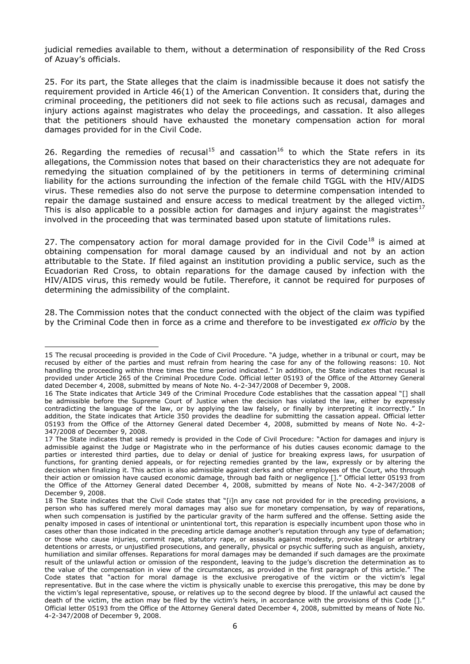judicial remedies available to them, without a determination of responsibility of the Red Cross of Azuay's officials.

25. For its part, the State alleges that the claim is inadmissible because it does not satisfy the requirement provided in Article 46(1) of the American Convention. It considers that, during the criminal proceeding, the petitioners did not seek to file actions such as recusal, damages and injury actions against magistrates who delay the proceedings, and cassation. It also alleges that the petitioners should have exhausted the monetary compensation action for moral damages provided for in the Civil Code.

26. Regarding the remedies of recusal<sup>15</sup> and cassation<sup>16</sup> to which the State refers in its allegations, the Commission notes that based on their characteristics they are not adequate for remedying the situation complained of by the petitioners in terms of determining criminal liability for the actions surrounding the infection of the female child TGGL with the HIV/AIDS virus. These remedies also do not serve the purpose to determine compensation intended to repair the damage sustained and ensure access to medical treatment by the alleged victim. This is also applicable to a possible action for damages and injury against the magistrates<sup>17</sup> involved in the proceeding that was terminated based upon statute of limitations rules.

27. The compensatory action for moral damage provided for in the Civil Code<sup>18</sup> is aimed at obtaining compensation for moral damage caused by an individual and not by an action attributable to the State. If filed against an institution providing a public service, such as the Ecuadorian Red Cross, to obtain reparations for the damage caused by infection with the HIV/AIDS virus, this remedy would be futile. Therefore, it cannot be required for purposes of determining the admissibility of the complaint.

28. The Commission notes that the conduct connected with the object of the claim was typified by the Criminal Code then in force as a crime and therefore to be investigated *ex officio* by the

<sup>-</sup>15 The recusal proceeding is provided in the Code of Civil Procedure. "A judge, whether in a tribunal or court, may be recused by either of the parties and must refrain from hearing the case for any of the following reasons: 10. Not handling the proceeding within three times the time period indicated." In addition, the State indicates that recusal is provided under Article 265 of the Criminal Procedure Code. Official letter 05193 of the Office of the Attorney General dated December 4, 2008, submitted by means of Note No. 4-2-347/2008 of December 9, 2008.

<sup>16</sup> The State indicates that Article 349 of the Criminal Procedure Code establishes that the cassation appeal "[] shall be admissible before the Supreme Court of Justice when the decision has violated the law, either by expressly contradicting the language of the law, or by applying the law falsely, or finally by interpreting it incorrectly." In addition, the State indicates that Article 350 provides the deadline for submitting the cassation appeal. Official letter 05193 from the Office of the Attorney General dated December 4, 2008, submitted by means of Note No. 4-2- 347/2008 of December 9, 2008.

<sup>17</sup> The State indicates that said remedy is provided in the Code of Civil Procedure: "Action for damages and injury is admissible against the Judge or Magistrate who in the performance of his duties causes economic damage to the parties or interested third parties, due to delay or denial of justice for breaking express laws, for usurpation of functions, for granting denied appeals, or for rejecting remedies granted by the law, expressly or by altering the decision when finalizing it. This action is also admissible against clerks and other employees of the Court, who through their action or omission have caused economic damage, through bad faith or negligence []." Official letter 05193 from the Office of the Attorney General dated December 4, 2008, submitted by means of Note No. 4-2-347/2008 of December 9, 2008.

<sup>18</sup> The State indicates that the Civil Code states that "[i]n any case not provided for in the preceding provisions, a person who has suffered merely moral damages may also sue for monetary compensation, by way of reparations, when such compensation is justified by the particular gravity of the harm suffered and the offense. Setting aside the penalty imposed in cases of intentional or unintentional tort, this reparation is especially incumbent upon those who in cases other than those indicated in the preceding article damage another's reputation through any type of defamation; or those who cause injuries, commit rape, statutory rape, or assaults against modesty, provoke illegal or arbitrary detentions or arrests, or unjustified prosecutions, and generally, physical or psychic suffering such as anguish, anxiety, humiliation and similar offenses. Reparations for moral damages may be demanded if such damages are the proximate result of the unlawful action or omission of the respondent, leaving to the judge's discretion the determination as to the value of the compensation in view of the circumstances, as provided in the first paragraph of this article." The Code states that "action for moral damage is the exclusive prerogative of the victim or the victim's legal representative. But in the case where the victim is physically unable to exercise this prerogative, this may be done by the victim's legal representative, spouse, or relatives up to the second degree by blood. If the unlawful act caused the death of the victim, the action may be filed by the victim's heirs, in accordance with the provisions of this Code []." Official letter 05193 from the Office of the Attorney General dated December 4, 2008, submitted by means of Note No. 4-2-347/2008 of December 9, 2008.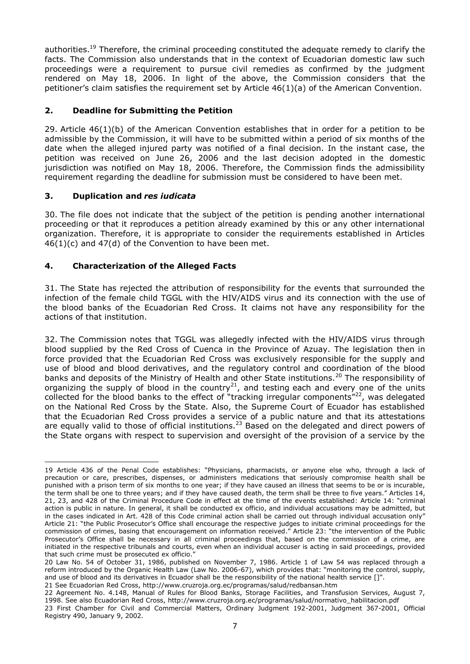authorities.<sup>19</sup> Therefore, the criminal proceeding constituted the adequate remedy to clarify the facts. The Commission also understands that in the context of Ecuadorian domestic law such proceedings were a requirement to pursue civil remedies as confirmed by the judgment rendered on May 18, 2006. In light of the above, the Commission considers that the petitioner's claim satisfies the requirement set by Article 46(1)(a) of the American Convention.

## **2. Deadline for Submitting the Petition**

29. Article 46(1)(b) of the American Convention establishes that in order for a petition to be admissible by the Commission, it will have to be submitted within a period of six months of the date when the alleged injured party was notified of a final decision. In the instant case, the petition was received on June 26, 2006 and the last decision adopted in the domestic jurisdiction was notified on May 18, 2006. Therefore, the Commission finds the admissibility requirement regarding the deadline for submission must be considered to have been met.

## **3. Duplication and** *res iudicata*

30. The file does not indicate that the subject of the petition is pending another international proceeding or that it reproduces a petition already examined by this or any other international organization. Therefore, it is appropriate to consider the requirements established in Articles  $46(1)(c)$  and  $47(d)$  of the Convention to have been met.

# **4. Characterization of the Alleged Facts**

31. The State has rejected the attribution of responsibility for the events that surrounded the infection of the female child TGGL with the HIV/AIDS virus and its connection with the use of the blood banks of the Ecuadorian Red Cross. It claims not have any responsibility for the actions of that institution.

32. The Commission notes that TGGL was allegedly infected with the HIV/AIDS virus through blood supplied by the Red Cross of Cuenca in the Province of Azuay. The legislation then in force provided that the Ecuadorian Red Cross was exclusively responsible for the supply and use of blood and blood derivatives, and the regulatory control and coordination of the blood banks and deposits of the Ministry of Health and other State institutions.<sup>20</sup> The responsibility of organizing the supply of blood in the country<sup>21</sup>, and testing each and every one of the units collected for the blood banks to the effect of "tracking irregular components"<sup>22</sup>, was delegated on the National Red Cross by the State. Also, the Supreme Court of Ecuador has established that the Ecuadorian Red Cross provides a service of a public nature and that its attestations are equally valid to those of official institutions.<sup>23</sup> Based on the delegated and direct powers of the State organs with respect to supervision and oversight of the provision of a service by the

21 See Ecuadorian Red Cross, <http://www.cruzroja.org.ec/programas/salud/redbansan.htm>

<sup>-</sup>19 Article 436 of the Penal Code establishes: "Physicians, pharmacists, or anyone else who, through a lack of precaution or care, prescribes, dispenses, or administers medications that seriously compromise health shall be punished with a prison term of six months to one year; if they have caused an illness that seems to be or is incurable, the term shall be one to three years; and if they have caused death, the term shall be three to five years." Articles 14, 21, 23, and 428 of the Criminal Procedure Code in effect at the time of the events established: Article 14: "criminal action is public in nature. In general, it shall be conducted ex officio, and individual accusations may be admitted, but in the cases indicated in Art. 428 of this Code criminal action shall be carried out through individual accusation only" Article 21: "the Public Prosecutor's Office shall encourage the respective judges to initiate criminal proceedings for the commission of crimes, basing that encouragement on information received." Article 23: "the intervention of the Public Prosecutor's Office shall be necessary in all criminal proceedings that, based on the commission of a crime, are initiated in the respective tribunals and courts, even when an individual accuser is acting in said proceedings, provided that such crime must be prosecuted ex officio."

<sup>20</sup> Law No. 54 of October 31, 1986, published on November 7, 1986. Article 1 of Law 54 was replaced through a reform introduced by the Organic Health Law (Law No. 2006-67), which provides that: "monitoring the control, supply, and use of blood and its derivatives in Ecuador shall be the responsibility of the national health service []".

<sup>22</sup> Agreement No. 4.148, Manual of Rules for Blood Banks, Storage Facilities, and Transfusion Services, August 7, 1998. See also Ecuadorian Red Cross, [http://www.cruzroja.org.ec/programas/salud/normativo\\_habilitacion.pdf](http://www.cruzroja.org.ec/programas/salud/normativo_habilitacion.pdf)

<sup>23</sup> First Chamber for Civil and Commercial Matters, Ordinary Judgment 192-2001, Judgment 367-2001, Official Registry 490, January 9, 2002.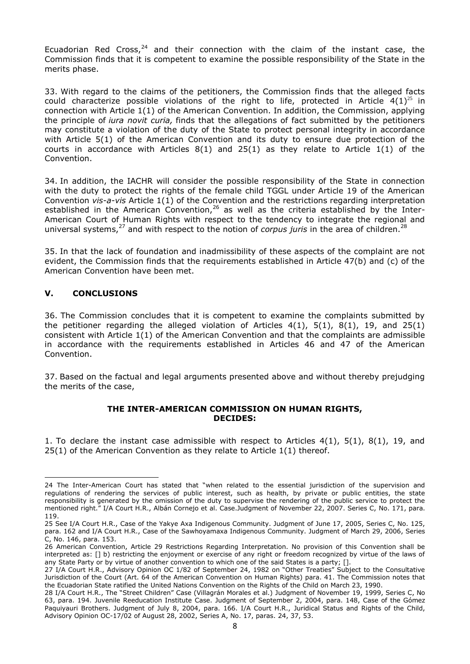Ecuadorian Red Cross, $24$  and their connection with the claim of the instant case, the Commission finds that it is competent to examine the possible responsibility of the State in the merits phase.

33. With regard to the claims of the petitioners, the Commission finds that the alleged facts could characterize possible violations of the right to life, protected in Article  $4(1)^{25}$  in connection with Article 1(1) of the American Convention. In addition, the Commission, applying the principle of *iura novit curia,* finds that the allegations of fact submitted by the petitioners may constitute a violation of the duty of the State to protect personal integrity in accordance with Article 5(1) of the American Convention and its duty to ensure due protection of the courts in accordance with Articles  $8(1)$  and  $25(1)$  as they relate to Article  $1(1)$  of the Convention.

34. In addition, the IACHR will consider the possible responsibility of the State in connection with the duty to protect the rights of the female child TGGL under Article 19 of the American Convention *vis-a-vis* Article 1(1) of the Convention and the restrictions regarding interpretation established in the American Convention,  $26$  as well as the criteria established by the Inter-American Court of Human Rights with respect to the tendency to integrate the regional and universal systems,<sup>27</sup> and with respect to the notion of *corpus juris* in the area of children.<sup>28</sup>

35. In that the lack of foundation and inadmissibility of these aspects of the complaint are not evident, the Commission finds that the requirements established in Article 47(b) and (c) of the American Convention have been met.

## **V. CONCLUSIONS**

-

36. The Commission concludes that it is competent to examine the complaints submitted by the petitioner regarding the alleged violation of Articles  $4(1)$ ,  $5(1)$ ,  $8(1)$ ,  $19$ , and  $25(1)$ consistent with Article 1(1) of the American Convention and that the complaints are admissible in accordance with the requirements established in Articles 46 and 47 of the American Convention.

37. Based on the factual and legal arguments presented above and without thereby prejudging the merits of the case,

#### **THE INTER-AMERICAN COMMISSION ON HUMAN RIGHTS, DECIDES:**

1. To declare the instant case admissible with respect to Articles 4(1), 5(1), 8(1), 19, and 25(1) of the American Convention as they relate to Article 1(1) thereof.

<sup>24</sup> The Inter-American Court has stated that "when related to the essential jurisdiction of the supervision and regulations of rendering the services of public interest, such as health, by private or public entities, the state responsibility is generated by the omission of the duty to supervise the rendering of the public service to protect the mentioned right." I/A Court H.R., Albán Cornejo et al. Case.Judgment of November 22, 2007. Series C, No. 171, para. 119.

<sup>25</sup> See I/A Court H.R., Case of the Yakye Axa Indigenous Community. Judgment of June 17, 2005, Series C, No. 125, para. 162 and I/A Court H.R., Case of the Sawhoyamaxa Indigenous Community. Judgment of March 29, 2006, Series C, No. 146, para. 153.

<sup>26</sup> American Convention, Article 29 Restrictions Regarding Interpretation. No provision of this Convention shall be interpreted as: [] b) restricting the enjoyment or exercise of any right or freedom recognized by virtue of the laws of any State Party or by virtue of another convention to which one of the said States is a party; [].

<sup>27</sup> I/A Court H.R., Advisory Opinion OC 1/82 of September 24, 1982 on "Other Treaties" Subject to the Consultative Jurisdiction of the Court (Art. 64 of the American Convention on Human Rights) para. 41. The Commission notes that the Ecuadorian State ratified the United Nations Convention on the Rights of the Child on March 23, 1990.

<sup>28</sup> I/A Court H.R., The "Street Children" Case (Villagrán Morales et al.) Judgment of November 19, 1999, Series C, No 63, para. 194. Juvenile Reeducation Institute Case. Judgment of September 2, 2004, para. 148, Case of the Gómez Paquiyauri Brothers. Judgment of July 8, 2004, para. 166. I/A Court H.R., Juridical Status and Rights of the Child, Advisory Opinion OC-17/02 of August 28, 2002, Series A, No. 17, paras. 24, 37, 53.